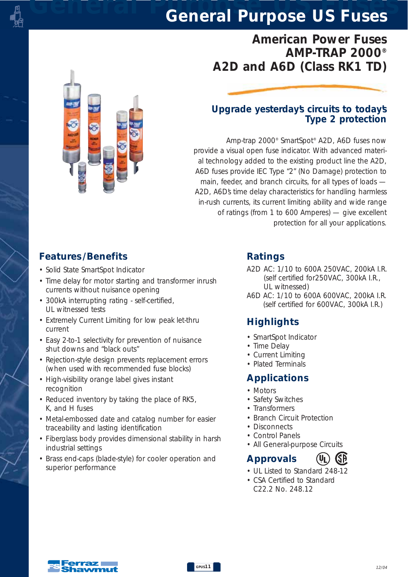# *American Power Fuses AMP-TRAP 2000® A2D and A6D (Class RK1 TD)*

#### *Upgrade yesterday's circuits to today's Type 2 protection*

*Amp-trap 2000® SmartSpot® A2D, A6D fuses now provide a visual open fuse indicator. With advanced material technology added to the existing product line the A2D, A6D fuses provide IEC Type "2" (No Damage) protection to main, feeder, and branch circuits, for all types of loads — A2D, A6D's time delay characteristics for handling harmless in-rush currents, its current limiting ability and wide range of ratings (from 1 to 600 Amperes) — give excellent protection for all your applications.* 

### *Features /Benefits*

- *Solid State SmartSpot Indicator*
- *Time delay for motor starting and transformer inrush currents without nuisance opening*
- *300kA interrupting rating self-certified, UL witnessed tests*
- *Extremely Current Limiting for low peak let-thru current*
- *Easy 2-to-1 selectivity for prevention of nuisance shut downs and "black outs"*
- *Rejection-style design prevents replacement errors (when used with recommended fuse blocks)*
- *High-visibility orange label gives instant recognition*
- *Reduced inventory by taking the place of RK5, K, and H fuses*
- *Metal-embossed date and catalog number for easier traceability and lasting identification*
- *Fiberglass body provides dimensional stability in harsh industrial settings*
- *Brass end-caps (blade-style) for cooler operation and superior performance*

#### *Ratings*

- *A2D AC: 1/10 to 600A 250VAC, 200kA I.R. (self certified for250VAC, 300kA I.R., UL witnessed)*
- *A6D AC: 1/10 to 600A 600VAC, 200kA I.R. (self certified for 600VAC, 300kA I.R.)*

### *Highlights*

- *SmartSpot Indicator*
- *Time Delay*
- *Current Limiting*
- *Plated Terminals*

### *Applications*

- *Motors*
- *Safety Switches*
- *Transformers*
- *Branch Circuit Protection*
- *Disconnects*
- *Control Panels*
- *All General-purpose Circuits*

### *Approvals*

- *UL Listed to Standard 248-12*
- *CSA Certified to Standard C22.2 No. 248.12*

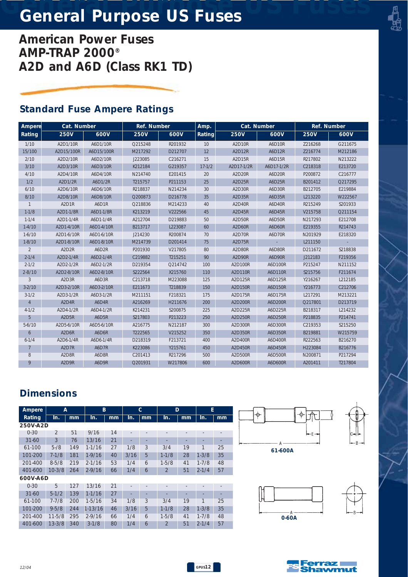*American Power Fuses AMP-TRAP 2000® A2D and A6D (Class RK1 TD)*

### *Standard Fuse Ampere Ratings*

| Ampere         | Cat. Number                     |            | Ref. Number |         | Amp.       | Cat. Number    |            | Ref. Number |         |
|----------------|---------------------------------|------------|-------------|---------|------------|----------------|------------|-------------|---------|
| Rating         | <b>250V</b>                     | 600V       | <b>250V</b> | 600V    | Rating     | <b>250V</b>    | 600V       | <b>250V</b> | 600V    |
| 1/10           | A2D1/10R                        | A6D1/10R   | Q215248     | R201932 | 10         | A2D10R         | A6D10R     | Z216268     | G211675 |
| 15/100         | A2D15/100R                      | A6D15/100R | M217292     | D212707 | 12         | A2D12R         | A6D12R     | Z216774     | M212186 |
| 2/10           | A2D2/10R                        | A6D2/10R   | J223085     | C216271 | 15         | A2D15R         | A6D15R     | R217802     | N213222 |
| 3/10           | A2D3/10R                        | A6D3/10R   | K212184     | G219357 | $17 - 1/2$ | A2D17-1/2R     | A6D17-1/2R | C218318     | E213720 |
| 4/10           | A2D4/10R                        | A6D4/10R   | N214740     | E201415 | 20         | A2D20R         | A6D20R     | P200872     | C216777 |
| 1/2            | A2D1/2R                         | A6D1/2R    | T215757     | P211153 | 25         | A2D25R         | A6D25R     | B201412     | Q217295 |
| 6/10           | A2D6/10R                        | A6D6/10R   | R218837     | N214234 | 30         | A2D30R         | A6D30R     | B212705     | E219884 |
| 8/10           | A2D8/10R                        | A6D8/10R   | Q200873     | D216778 | 35         | A2D35R         | A6D35R     | L213220     | W222567 |
| $\mathbf{1}$   | A2D1R                           | A6D1R      | Q218836     | M214233 | 40         | A2D40R         | A6D40R     | R215249     | S201933 |
| $1 - 1/8$      | A2D1-1/8R                       | A6D1-1/8R  | K213219     | V222566 | 45         | A2D45R         | A6D45R     | V215758     | Q211154 |
| $1 - 1/4$      | A2D1-1/4R                       | A6D1-1/4R  | A212704     | D219883 | 50         | A2D50R         | A6D50R     | N217293     | E212708 |
| $1-4/10$       | A2D1-4/10R                      | A6D1-4/10R | B213717     | L223087 | 60         | A2D60R         | A6D60R     | E219355     | R214743 |
| $1 - 6/10$     | A2D1-6/10R                      | A6D1-6/10R | J214230     | R200874 | 70         | A2D70R         | A6D70R     | N201929     | E218320 |
| $1 - 8/10$     | A2D1-8/10R                      | A6D1-8/10R | M214739     | D201414 | 75         | A2D75R         |            | L211150     |         |
| 2              | A <sub>2</sub> D <sub>2R</sub>  | A6D2R      | P201930     | V217805 | 80         | A2D80R         | A6D80R     | D211672     | S218838 |
| $2 - 1/4$      | A2D2-1/4R                       | A6D2-1/4R  | C219882     | T215251 | 90         | A2D90R         | A6D90R     | J212183     | F219356 |
| $2 - 1/2$      | A2D2-1/2R                       | A6D2-1/2R  | D219354     | Q214742 | 100        | A2D100R        | A6D100R    | P215247     | N211152 |
| $2 - 8/10$     | A2D2-8/10R                      | A6D2-8/10R | S222564     | X215760 | 110        | A2D110R        | A6D110R    | S215756     | F211674 |
| 3              | A <sub>2</sub> D <sub>3R</sub>  | A6D3R      | C213718     | M223088 | 125        | A2D125R        | A6D125R    | Y216267     | L212185 |
| $3 - 2/10$     | A2D3-2/10R                      | A6D3-2/10R | E211673     | T218839 | 150        | A2D150R        | A6D150R    | Y216773     | C212706 |
| $3 - 1/2$      | A2D3-1/2R                       | A6D3-1/2R  | M211151     | F218321 | 175        | A2D175R        | A6D175R    | L217291     | M213221 |
| $\overline{4}$ | A <sub>2</sub> D <sub>4</sub> R | A6D4R      | A216269     | H211676 | 200        | A2D200R        | A6D200R    | Q217801     | D213719 |
| $4 - 1/2$      | A2D4-1/2R                       | A6D4-1/2R  | K214231     | S200875 | 225        | A2D225R        | A6D225R    | B218317     | L214232 |
| 5              | A2D5R                           | A6D5R      | S217803     | P213223 | 250        | A2D250R        | A6D250R    | P218835     | P214741 |
| $5 - 6/10$     | A2D5-6/10R                      | A6D5-6/10R | A216775     | N212187 | 300        | A2D300R        | A6D300R    | C219353     | S215250 |
| 6              | A2D6R                           | A6D6R      | T222565     | V215252 | 350        | A2D350R        | A6D350R    | B219881     | W215759 |
| $6 - 1/4$      | A2D6-1/4R                       | A6D6-1/4R  | D218319     | F213721 | 400        | A2D400R        | A6D400R    | R222563     | B216270 |
| $\overline{7}$ | A <sub>2</sub> D <sub>7R</sub>  | A6D7R      | K223086     | Y215761 | 450        | A2D450R        | A6D450R    | H223084     | B216776 |
| 8              | A2D8R                           | A6D8R      | C201413     | R217296 | 500        | A2D500R        | A6D500R    | N200871     | P217294 |
| 9              | A <sub>2</sub> D <sub>9R</sub>  | A6D9R      | Q201931     | W217806 | 600        | <b>A2D600R</b> | A6D600R    | A201411     | T217804 |

### *Dimensions*

| Ampere      | A              |     | B          |    |      | $\mathbf{C}$ | D                        |                          | E         |                              |
|-------------|----------------|-----|------------|----|------|--------------|--------------------------|--------------------------|-----------|------------------------------|
| Rating      | In.            | mm  | In.        | mm | In.  | mm           | In.                      | mm                       | In.       | mm                           |
| 250V-A2D    |                |     |            |    |      |              |                          |                          |           |                              |
| $0 - 30$    | $\mathfrak{D}$ | 51  | 9/16       | 14 |      |              | $\overline{\phantom{a}}$ | $\overline{\phantom{a}}$ |           | $\qquad \qquad \blacksquare$ |
| $31 - 60$   | 3              | 76  | 13/16      | 21 |      |              |                          |                          |           |                              |
| 61-100      | $5 - 18$       | 149 | $1 - 1/16$ | 27 | 1/8  | 3            | 3/4                      | 19                       | 1         | 25                           |
| 101-200     | $7-1/8$        | 181 | $1-9/16$   | 40 | 3/16 | 5            | $1 - 1/8$                | 28                       | $1 - 3/8$ | 35                           |
| 201-400     | $8 - 5/8$      | 219 | $2 - 1/16$ | 53 | 1/4  | 6            | $1 - 5/8$                | 41                       | $1 - 7/8$ | 48                           |
| 401-600     | $10-3/8$       | 264 | $2 - 9/16$ | 66 | 1/4  | 6            | $\mathfrak{D}$           | 51                       | $2 - 1/4$ | 57                           |
| 600V-A6D    |                |     |            |    |      |              |                          |                          |           |                              |
| $0 - 30$    | 5              | 127 | 13/16      | 21 |      |              | $\overline{\phantom{a}}$ | $\overline{\phantom{a}}$ |           | $\qquad \qquad \blacksquare$ |
| $31 - 60$   | $5-1/2$        | 139 | $1 - 1/16$ | 27 |      |              |                          |                          |           |                              |
| 61-100      | $7 - 7/8$      | 200 | $1-5/16$   | 34 | 1/8  | 3            | 3/4                      | 19                       | 1         | 25                           |
| 101-200     | $9 - 5/8$      | 244 | $1-13/16$  | 46 | 3/16 | 5            | $1 - 1/8$                | 28                       | $1 - 3/8$ | 35                           |
| $201 - 400$ | $11 - 5/8$     | 295 | $2 - 9/16$ | 66 | 1/4  | 6            | $1 - 5/8$                | 41                       | $1 - 7/8$ | 48                           |
| 401-600     | $13 - 3/8$     | 340 | $3-1/8$    | 80 | 1/4  | 6            | 2                        | 51                       | $2 - 1/4$ | 57                           |





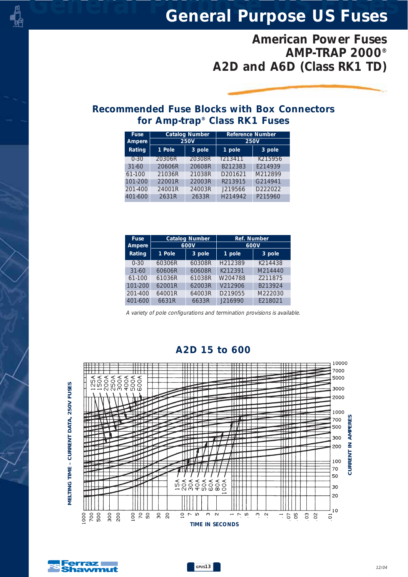# *American Power Fuses AMP-TRAP 2000® A2D and A6D (Class RK1 TD)*

#### *Recommended Fuse Blocks with Box Connectors for Amp-trap® Class RK1 Fuses*

| <b>Fuse</b><br>Ampere |        | <b>Catalog Number</b><br><b>250V</b> | <b>Reference Number</b><br><b>250V</b> |         |  |  |
|-----------------------|--------|--------------------------------------|----------------------------------------|---------|--|--|
| Rating                | 1 Pole | 3 pole                               | 1 pole                                 | 3 pole  |  |  |
| $0 - 30$              | 20306R | 20308R                               | T213411                                | K215956 |  |  |
| $31 - 60$             | 20606R | 20608R                               | B212383                                | F214939 |  |  |
| $61-100$              | 21036R | 21038R                               | D201621                                | M212899 |  |  |
| 101-200               | 22001R | 22003R                               | R213915                                | G214941 |  |  |
| $201 - 400$           | 24001R | 24003R                               | J219566                                | D222022 |  |  |
| 401-600               | 2631R  | 2633R                                | H <sub>214942</sub>                    | P215960 |  |  |

| <b>Fuse</b> |        | <b>Catalog Number</b> | Ref. Number<br>600V |         |  |  |
|-------------|--------|-----------------------|---------------------|---------|--|--|
| Ampere      |        | 600V                  |                     |         |  |  |
| Rating      | 1 Pole | 3 pole                | 1 pole              | 3 pole  |  |  |
| $0 - 30$    | 60306R | 60308R                | H212389             | K214438 |  |  |
| $31 - 60$   | 60606R | 60608R                | K212391             | M214440 |  |  |
| 61-100      | 61036R | 61038R                | W204788             | 7211875 |  |  |
| 101-200     | 62001R | 62003R                | V212906             | B213924 |  |  |
| 201-400     | 64001R | 64003R                | D219055             | M222030 |  |  |
| 401-600     | 6631R  | 6633R                 | J216990             | E218021 |  |  |

*A variety of pole configurations and termination provisions is available.* 



#### *A2D 15 to 600*



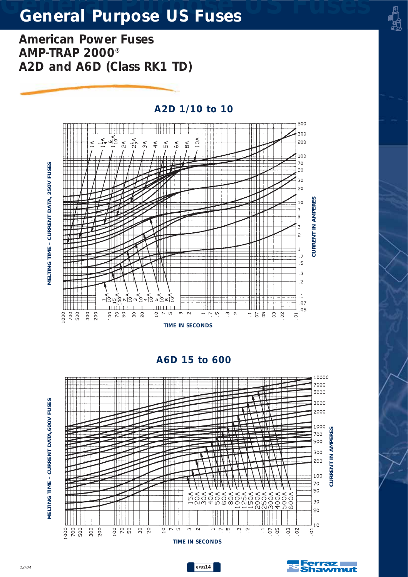*American Power Fuses AMP-TRAP 2000® A2D and A6D (Class RK1 TD)*



*A2D 1/10 to 10*